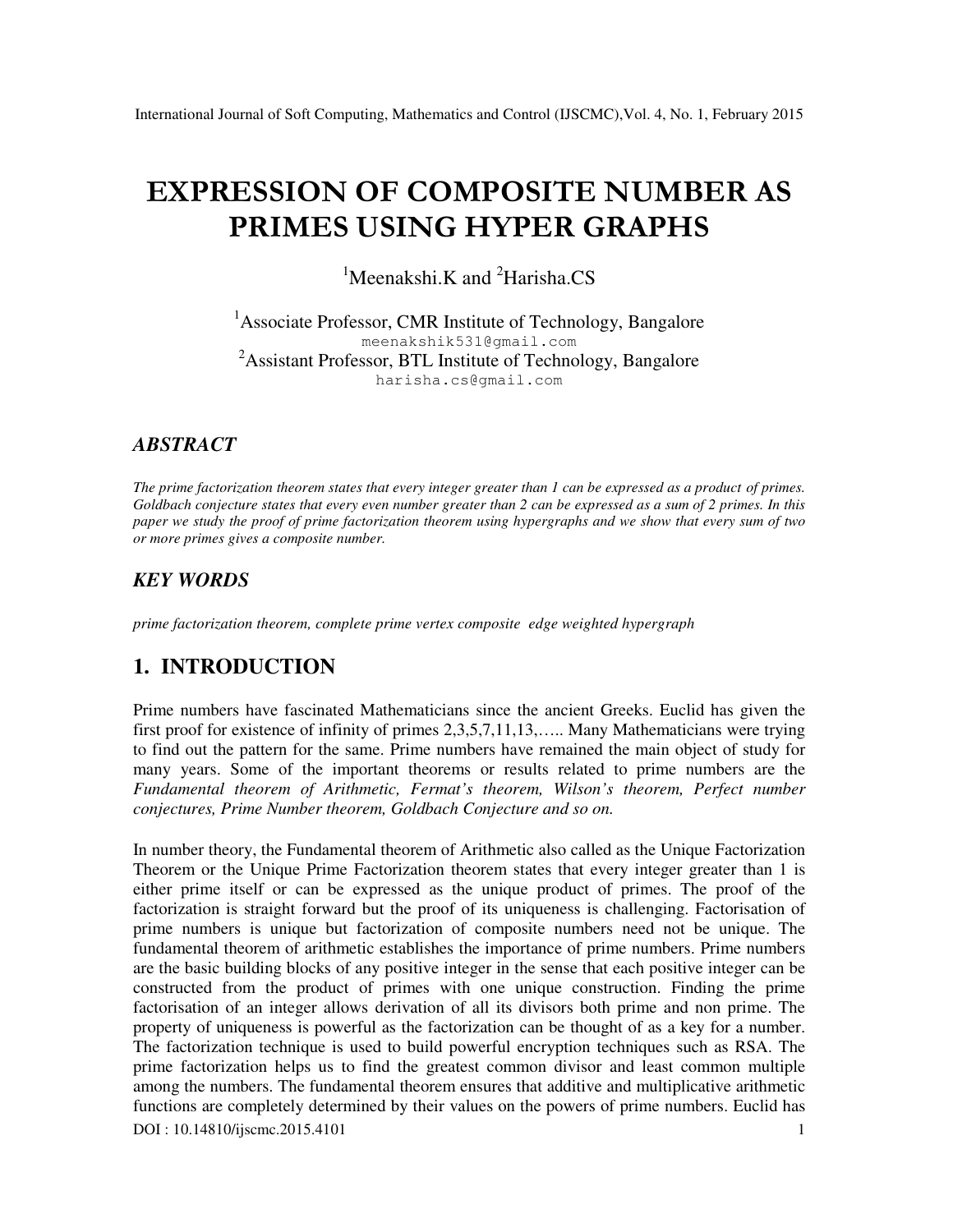# **EXPRESSION OF COMPOSITE NUMBER AS PRIMES USING HYPER GRAPHS**

<sup>1</sup>Meenakshi.K and <sup>2</sup>Harisha.CS

<sup>1</sup>Associate Professor, CMR Institute of Technology, Bangalore meenakshik531@gmail.com <sup>2</sup>Assistant Professor, BTL Institute of Technology, Bangalore harisha.cs@gmail.com

### *ABSTRACT*

*The prime factorization theorem states that every integer greater than 1 can be expressed as a product of primes. Goldbach conjecture states that every even number greater than 2 can be expressed as a sum of 2 primes. In this paper we study the proof of prime factorization theorem using hypergraphs and we show that every sum of two or more primes gives a composite number.*

### *KEY WORDS*

*prime factorization theorem, complete prime vertex composite edge weighted hypergraph*

# **1. INTRODUCTION**

Prime numbers have fascinated Mathematicians since the ancient Greeks. Euclid has given the first proof for existence of infinity of primes 2,3,5,7,11,13,….. Many Mathematicians were trying to find out the pattern for the same. Prime numbers have remained the main object of study for many years. Some of the important theorems or results related to prime numbers are the *Fundamental theorem of Arithmetic, Fermat's theorem, Wilson's theorem, Perfect number conjectures, Prime Number theorem, Goldbach Conjecture and so on.*

DOI : 10.14810/ijscmc.2015.4101 1 In number theory, the Fundamental theorem of Arithmetic also called as the Unique Factorization Theorem or the Unique Prime Factorization theorem states that every integer greater than 1 is either prime itself or can be expressed as the unique product of primes. The proof of the factorization is straight forward but the proof of its uniqueness is challenging. Factorisation of prime numbers is unique but factorization of composite numbers need not be unique. The fundamental theorem of arithmetic establishes the importance of prime numbers. Prime numbers are the basic building blocks of any positive integer in the sense that each positive integer can be constructed from the product of primes with one unique construction. Finding the prime factorisation of an integer allows derivation of all its divisors both prime and non prime. The property of uniqueness is powerful as the factorization can be thought of as a key for a number. The factorization technique is used to build powerful encryption techniques such as RSA. The prime factorization helps us to find the greatest common divisor and least common multiple among the numbers. The fundamental theorem ensures that additive and multiplicative arithmetic functions are completely determined by their values on the powers of prime numbers. Euclid has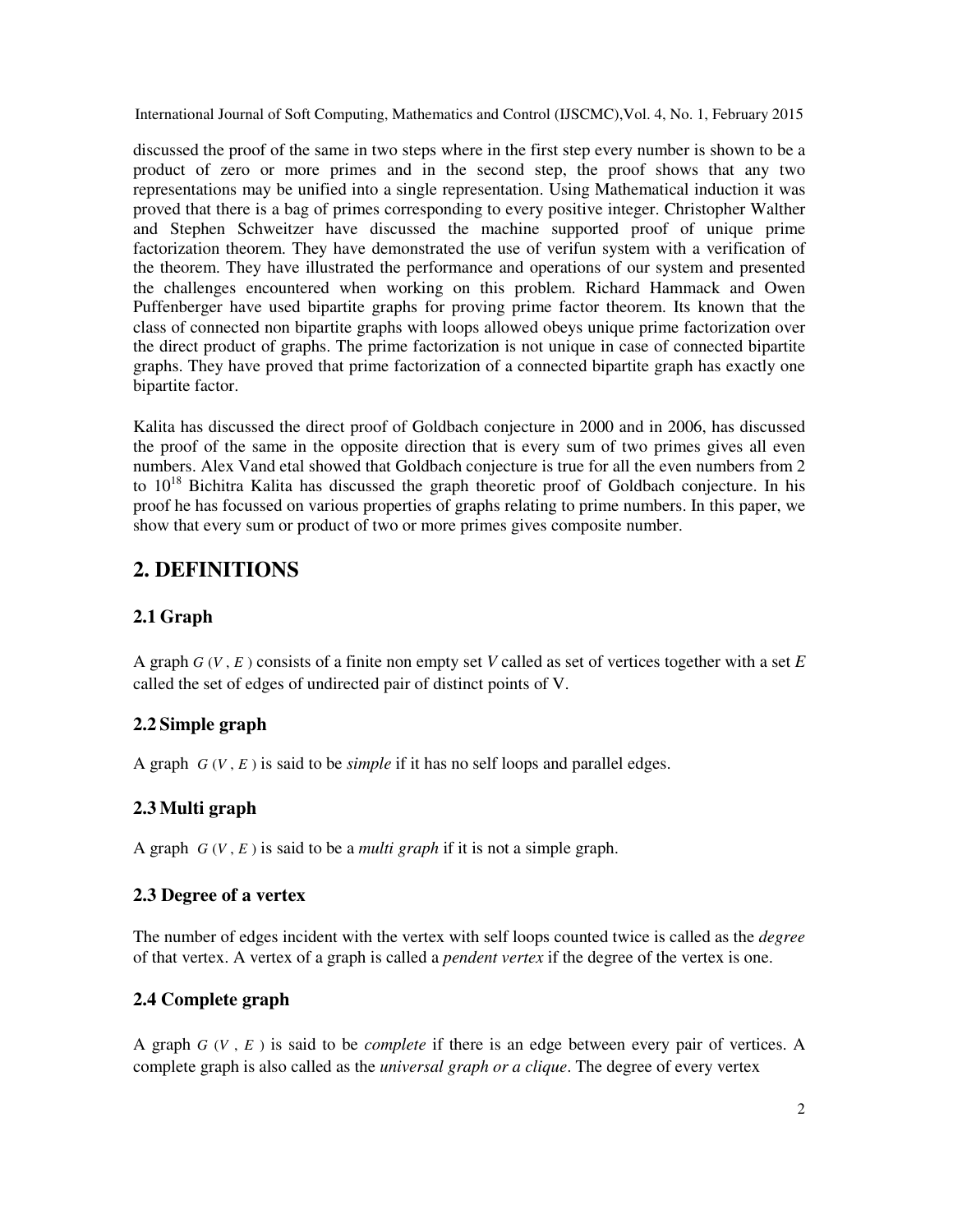discussed the proof of the same in two steps where in the first step every number is shown to be a product of zero or more primes and in the second step, the proof shows that any two representations may be unified into a single representation. Using Mathematical induction it was proved that there is a bag of primes corresponding to every positive integer. Christopher Walther and Stephen Schweitzer have discussed the machine supported proof of unique prime factorization theorem. They have demonstrated the use of verifun system with a verification of the theorem. They have illustrated the performance and operations of our system and presented the challenges encountered when working on this problem. Richard Hammack and Owen Puffenberger have used bipartite graphs for proving prime factor theorem. Its known that the class of connected non bipartite graphs with loops allowed obeys unique prime factorization over the direct product of graphs. The prime factorization is not unique in case of connected bipartite graphs. They have proved that prime factorization of a connected bipartite graph has exactly one bipartite factor.

Kalita has discussed the direct proof of Goldbach conjecture in 2000 and in 2006, has discussed the proof of the same in the opposite direction that is every sum of two primes gives all even numbers. Alex Vand etal showed that Goldbach conjecture is true for all the even numbers from 2 to  $10^{18}$  Bichitra Kalita has discussed the graph theoretic proof of Goldbach conjecture. In his proof he has focussed on various properties of graphs relating to prime numbers. In this paper, we show that every sum or product of two or more primes gives composite number.

# **2. DEFINITIONS**

# **2.1 Graph**

A graph *G* (*V* , *E* ) consists of a finite non empty set *V* called as set of vertices together with a set *E* called the set of edges of undirected pair of distinct points of V.

### **2.2 Simple graph**

A graph  $G(V, E)$  is said to be *simple* if it has no self loops and parallel edges.

### **2.3 Multi graph**

A graph  $G(V, E)$  is said to be a *multi graph* if it is not a simple graph.

#### **2.3 Degree of a vertex**

The number of edges incident with the vertex with self loops counted twice is called as the *degree* of that vertex. A vertex of a graph is called a *pendent vertex* if the degree of the vertex is one.

### **2.4 Complete graph**

A graph *G* (*V* , *E* ) is said to be *complete* if there is an edge between every pair of vertices. A complete graph is also called as the *universal graph or a clique*. The degree of every vertex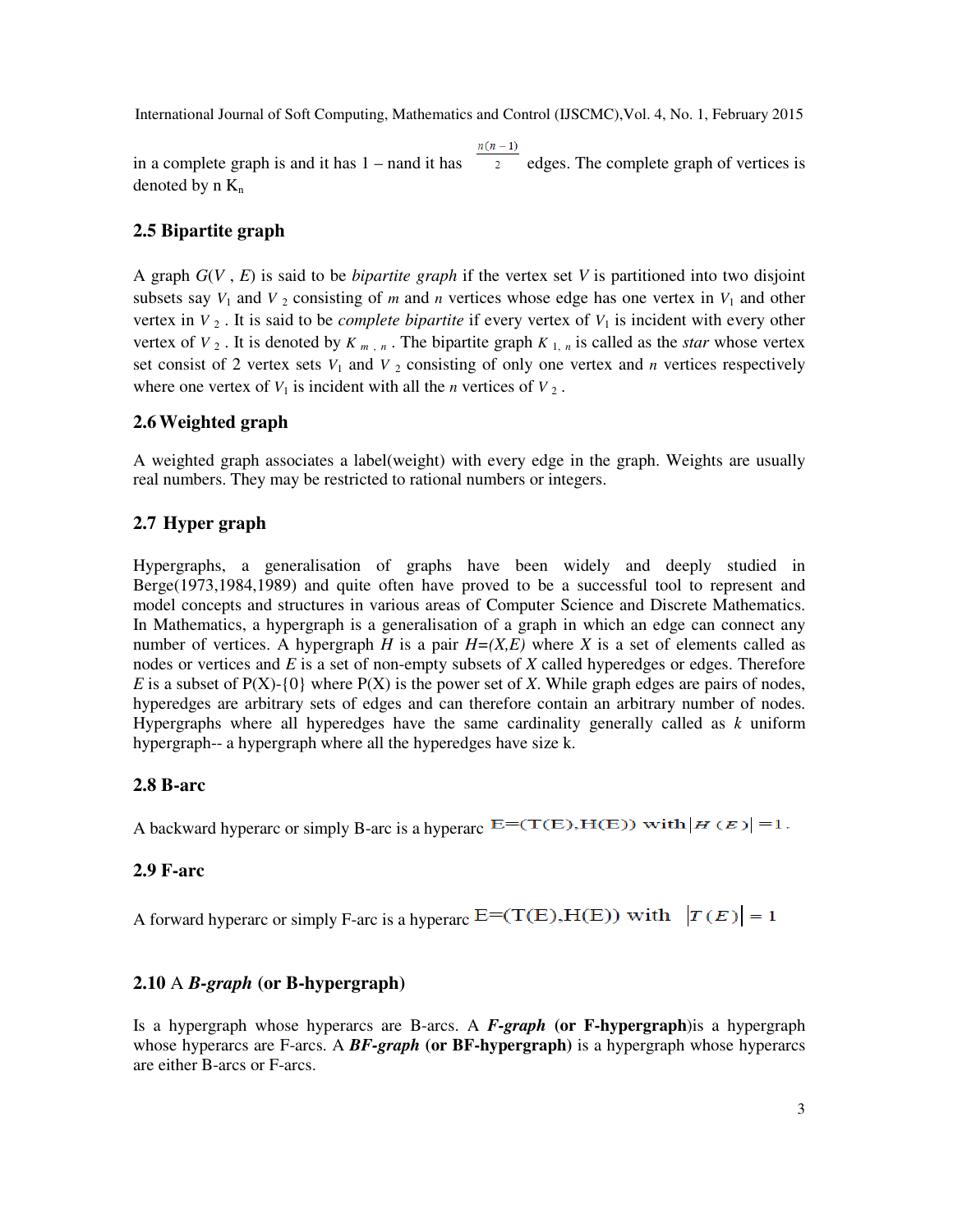in a complete graph is and it has  $1 -$  nand it has  $\overline{a}$  edges. The complete graph of vertices is denoted by  $n K_n$ 

#### **2.5 Bipartite graph**

A graph *G*(*V* , *E*) is said to be *bipartite graph* if the vertex set *V* is partitioned into two disjoint subsets say  $V_1$  and  $V_2$  consisting of *m* and *n* vertices whose edge has one vertex in  $V_1$  and other vertex in  $V_2$ . It is said to be *complete bipartite* if every vertex of  $V_1$  is incident with every other vertex of  $V_2$ . It is denoted by  $K_{m,n}$ . The bipartite graph  $K_{1,n}$  is called as the *star* whose vertex set consist of 2 vertex sets  $V_1$  and  $V_2$  consisting of only one vertex and *n* vertices respectively where one vertex of  $V_1$  is incident with all the *n* vertices of  $V_2$ .

#### **2.6Weighted graph**

A weighted graph associates a label(weight) with every edge in the graph. Weights are usually real numbers. They may be restricted to rational numbers or integers.

#### **2.7 Hyper graph**

Hypergraphs, a generalisation of graphs have been widely and deeply studied in Berge(1973,1984,1989) and quite often have proved to be a successful tool to represent and model concepts and structures in various areas of Computer Science and Discrete Mathematics. In Mathematics, a hypergraph is a generalisation of a graph in which an edge can connect any number of vertices. A hypergraph *H* is a pair  $H=(X,E)$  where *X* is a set of elements called as nodes or vertices and *E* is a set of non-empty subsets of *X* called hyperedges or edges. Therefore *E* is a subset of  $P(X)$ -{0} where  $P(X)$  is the power set of *X*. While graph edges are pairs of nodes, hyperedges are arbitrary sets of edges and can therefore contain an arbitrary number of nodes. Hypergraphs where all hyperedges have the same cardinality generally called as *k* uniform hypergraph-- a hypergraph where all the hyperedges have size k.

#### **2.8 B-arc**

A backward hyperarc or simply B-arc is a hyperarc  $E=(T(E),H(E))$  with  $|H(E)|=1$ .

#### **2.9 F-arc**

A forward hyperarc or simply F-arc is a hyperarc  $E=(T(E),H(E))$  with  $|T(E)|=1$ 

#### **2.10** A *B-graph* **(or B-hypergraph)**

Is a hypergraph whose hyperarcs are B-arcs. A *F-graph* **(or F-hypergraph**)is a hypergraph whose hyperarcs are F-arcs. A *BF-graph* **(or BF-hypergraph)** is a hypergraph whose hyperarcs are either B-arcs or F-arcs.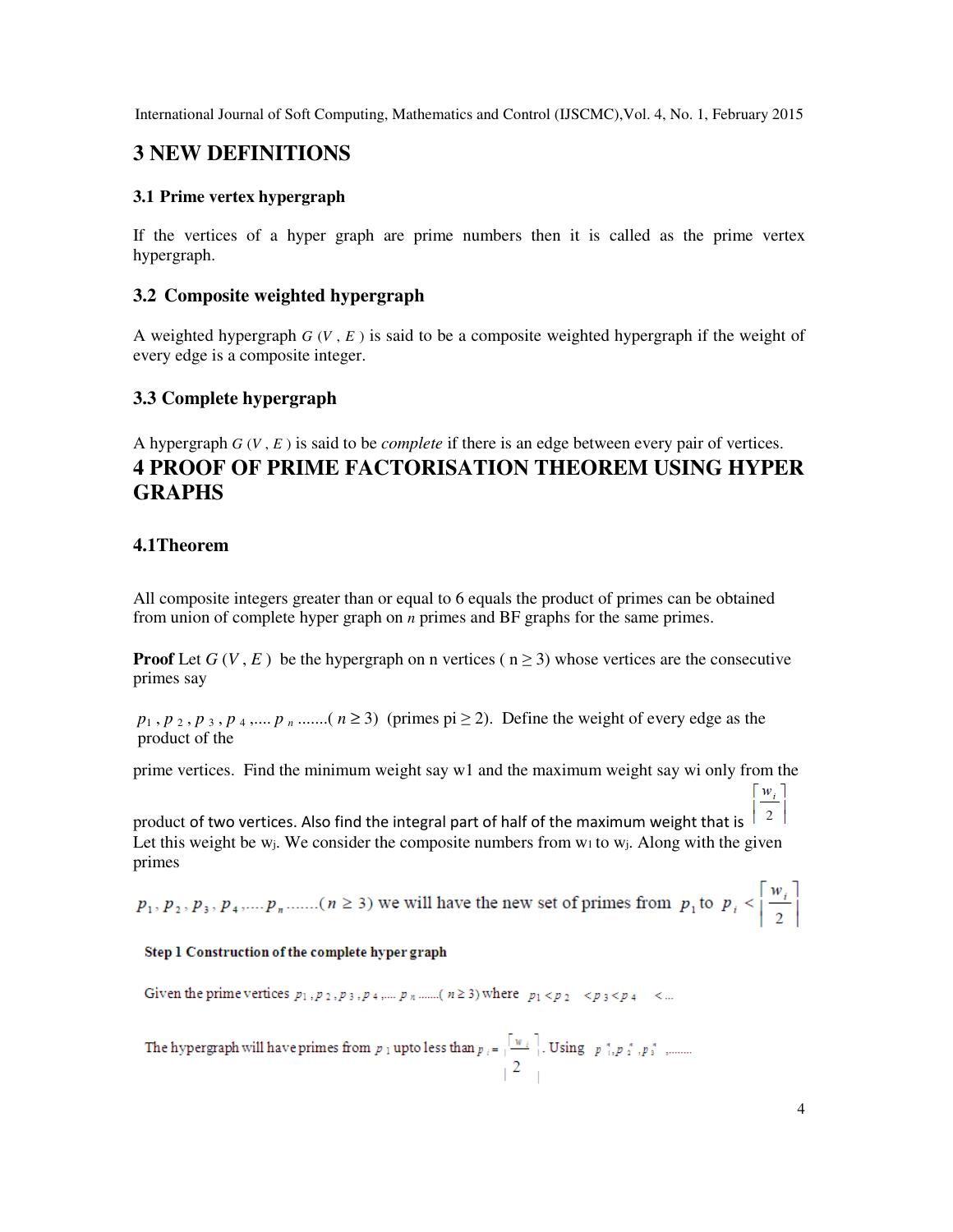# **3 NEW DEFINITIONS**

#### **3.1 Prime vertex hypergraph**

If the vertices of a hyper graph are prime numbers then it is called as the prime vertex hypergraph.

### **3.2 Composite weighted hypergraph**

A weighted hypergraph  $G(V, E)$  is said to be a composite weighted hypergraph if the weight of every edge is a composite integer.

### **3.3 Complete hypergraph**

A hypergraph *G* (*V* , *E* ) is said to be *complete* if there is an edge between every pair of vertices. **4 PROOF OF PRIME FACTORISATION THEOREM USING HYPER GRAPHS**

### **4.1Theorem**

All composite integers greater than or equal to 6 equals the product of primes can be obtained from union of complete hyper graph on *n* primes and BF graphs for the same primes.

**Proof** Let  $G(V, E)$  be the hypergraph on n vertices ( $n \ge 3$ ) whose vertices are the consecutive primes say

 $p_1$ ,  $p_2$ ,  $p_3$ ,  $p_4$ , ....,  $p_n$  .......( $n \ge 3$ ) (primes pi  $\ge 2$ ). Define the weight of every edge as the product of the

prime vertices. Find the minimum weight say w1 and the maximum weight say wi only from the  $w_i$ ]

 $2$ product of two vertices. Also find the integral part of half of the maximum weight that is Let this weight be w<sub>i</sub>. We consider the composite numbers from  $w_1$  to  $w_i$ . Along with the given primes

 $p_1, p_2, p_3, p_4, \dots, p_n, \dots \dots$  ( $n \ge 3$ ) we will have the new set of primes from  $p_1$  to  $p_i < \left\lceil \frac{w_i}{2} \right\rceil$ 

#### Step 1 Construction of the complete hyper graph

Given the prime vertices  $p_1, p_2, p_3, p_4, \dots, p_n$  .......( $n \ge 3$ ) where  $p_1 < p_2 < p_3 < p_4 < \dots$ 

The hypergraph will have primes from  $p_1$  upto less than  $p_i = \sqrt{\frac{w_i}{2}}$ . Using  $p_{i_1}^s, p_2^s, p_3^s$ , ........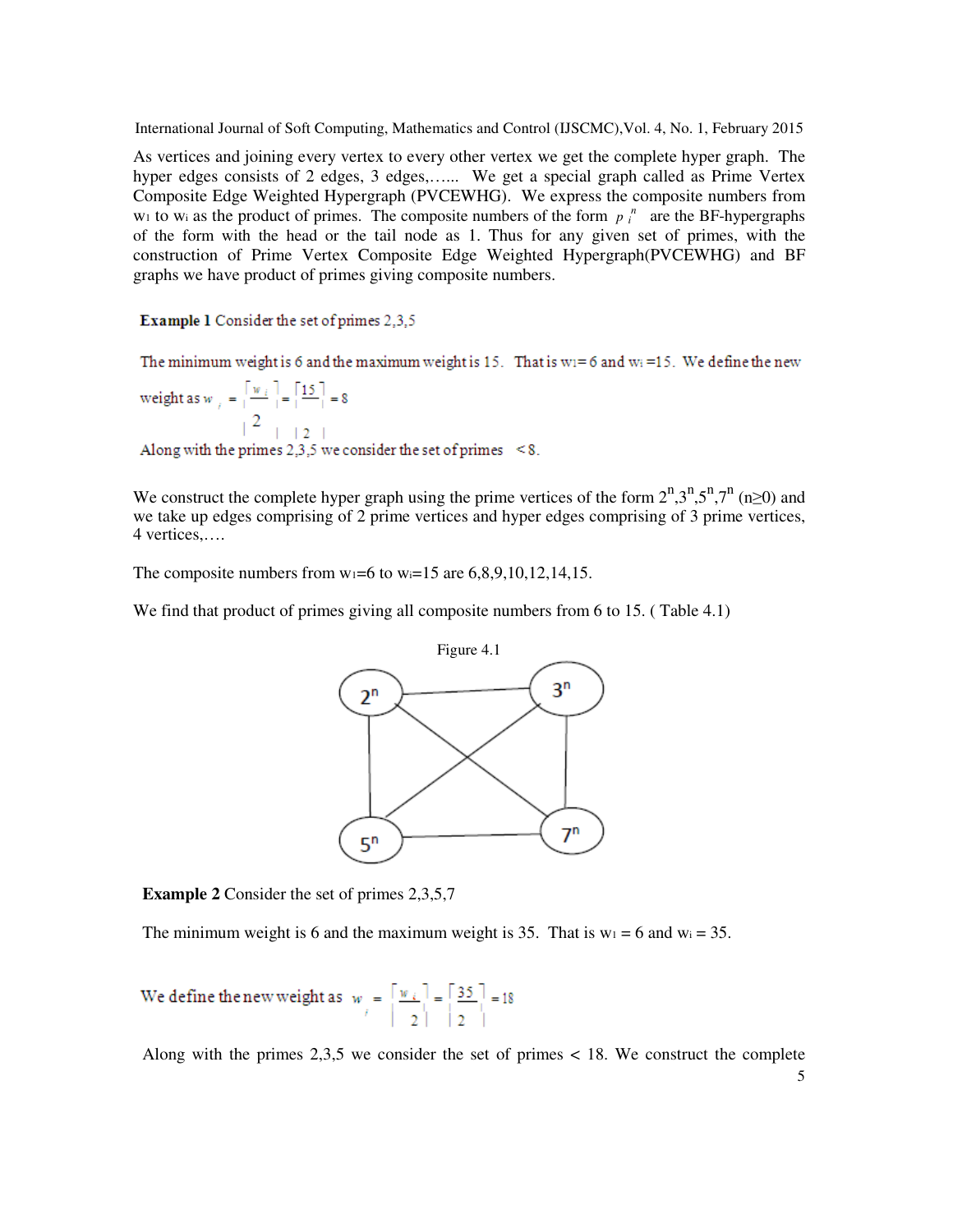As vertices and joining every vertex to every other vertex we get the complete hyper graph. The hyper edges consists of 2 edges, 3 edges,...... We get a special graph called as Prime Vertex Composite Edge Weighted Hypergraph (PVCEWHG). We express the composite numbers from  $w_1$  to  $w_i$  as the product of primes. The composite numbers of the form  $p_i$ <sup>n</sup> are the BF-hypergraphs of the form with the head or the tail node as 1. Thus for any given set of primes, with the construction of Prime Vertex Composite Edge Weighted Hypergraph(PVCEWHG) and BF graphs we have product of primes giving composite numbers.

**Example 1** Consider the set of primes 2,3,5

The minimum weight is 6 and the maximum weight is 15. That is  $w_1 = 6$  and  $w_1 = 15$ . We define the new

weight as  $w_i = \left[\frac{w_i}{2}\right] = \left[\frac{15}{2}\right] = 8$ <br>Along with the primes 2,3,5 we consider the set of primes <8.

We construct the complete hyper graph using the prime vertices of the form  $2^n,3^n,5^n,7^n$  (n≥0) and we take up edges comprising of 2 prime vertices and hyper edges comprising of 3 prime vertices, 4 vertices,….

The composite numbers from  $w_1=6$  to  $w_1=15$  are  $6,8,9,10,12,14,15$ .

We find that product of primes giving all composite numbers from 6 to 15. (Table 4.1)



**Example 2** Consider the set of primes 2,3,5,7

The minimum weight is 6 and the maximum weight is 35. That is  $w_1 = 6$  and  $w_1 = 35$ .

We define the new weight as  $w_i = \left[\frac{w_i}{2}\right] = \left[\frac{35}{2}\right] = 18$ 

Along with the primes  $2.3.5$  we consider the set of primes  $\lt 18$ . We construct the complete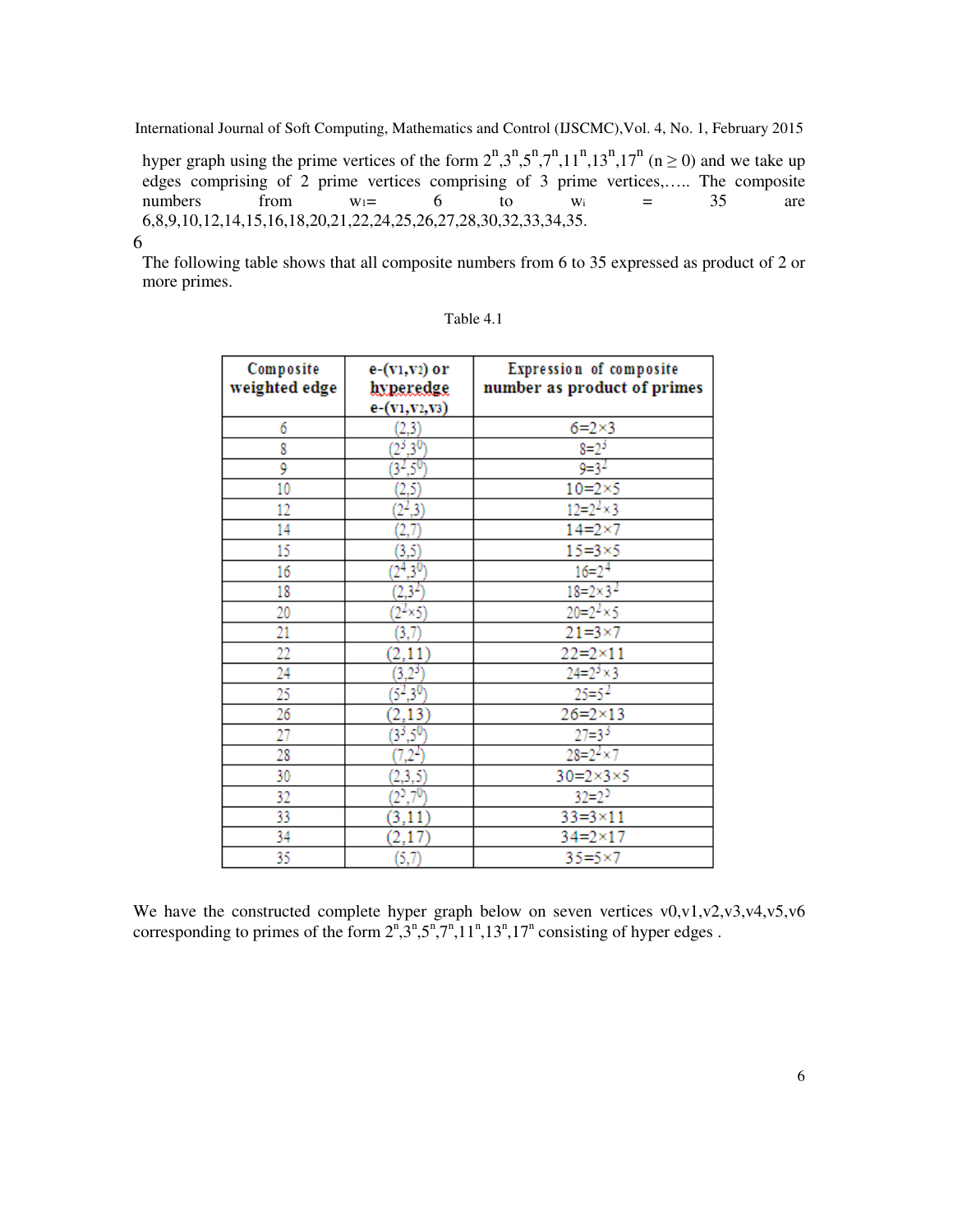hyper graph using the prime vertices of the form  $2^n,3^n,5^n,7^n,11^n,13^n,17^n$  (n  $\geq$  0) and we take up edges comprising of 2 prime vertices comprising of 3 prime vertices,….. The composite numbers from  $w_1= 6$  to  $w_i = 35$  are 6,8,9,10,12,14,15,16,18,20,21,22,24,25,26,27,28,30,32,33,34,35.

#### 6

The following table shows that all composite numbers from 6 to 35 expressed as product of 2 or more primes.

| Composite<br>weighted edge | e-(v1,v2) or<br>hyperedge<br>e-(v1, v2, v3) | Expression of composite<br>number as product of primes |
|----------------------------|---------------------------------------------|--------------------------------------------------------|
| 6                          |                                             | $6 = 2 \times 3$                                       |
| 8                          | $\frac{(2,3)}{(2^3,3^0)}$                   | $8=2^3$                                                |
| 9                          | $(3^{2},5^{0})$                             | $9=3^2$                                                |
| 10                         | (2, 5)                                      | $10=2\times 5$                                         |
| 12                         | $(2^2,3)$                                   | $12 = 2^2 \times 3$                                    |
| 14                         | (2, 7)                                      | $14 = 2 \times 7$                                      |
| 15                         | (3, 5)                                      | $15 = 3 \times 5$                                      |
| 16                         | $(2^4,3^0)$                                 | $16 = 2^4$                                             |
| 18                         | $(2,3^2)$                                   | $18 = 2 \times 3^2$                                    |
| 20                         | $(2^2 \times 5)$                            | $20 = 2^2 \times 5$                                    |
| 21                         | (3,7)                                       | $21 = 3 \times 7$                                      |
| 22                         | (2, 11)                                     | $22 = 2 \times 11$                                     |
| 24                         | $(3,2^3)$                                   | $24 = 2^3 \times 3$                                    |
| 25                         | $(5^2, 3^0)$                                | $25=5^2$                                               |
| 26                         | 2,13)                                       | $26 = 2 \times 13$                                     |
| 27                         | $\frac{(3^3,5^0)}{(7,2^2)}$                 | $27=3^{3}$                                             |
| 28                         |                                             | $28 = 2^2 \times 7$                                    |
| 30                         | (2,3,5)                                     | $30=2\times3\times5$                                   |
| 32                         | $(2^5,7^0)$                                 | $32=2^5$                                               |
| 33                         | (3,11)                                      | $33 = 3 \times 11$                                     |
| 34                         | (2,17)                                      | $34 = 2 \times 17$                                     |
| 35                         | (5,7)                                       | $35 = 5 \times 7$                                      |

| able |  |
|------|--|
|------|--|

We have the constructed complete hyper graph below on seven vertices v0,v1,v2,v3,v4,v5,v6 corresponding to primes of the form  $2^n, 3^n, 5^n, 7^n, 11^n, 13^n, 17^n$  consisting of hyper edges.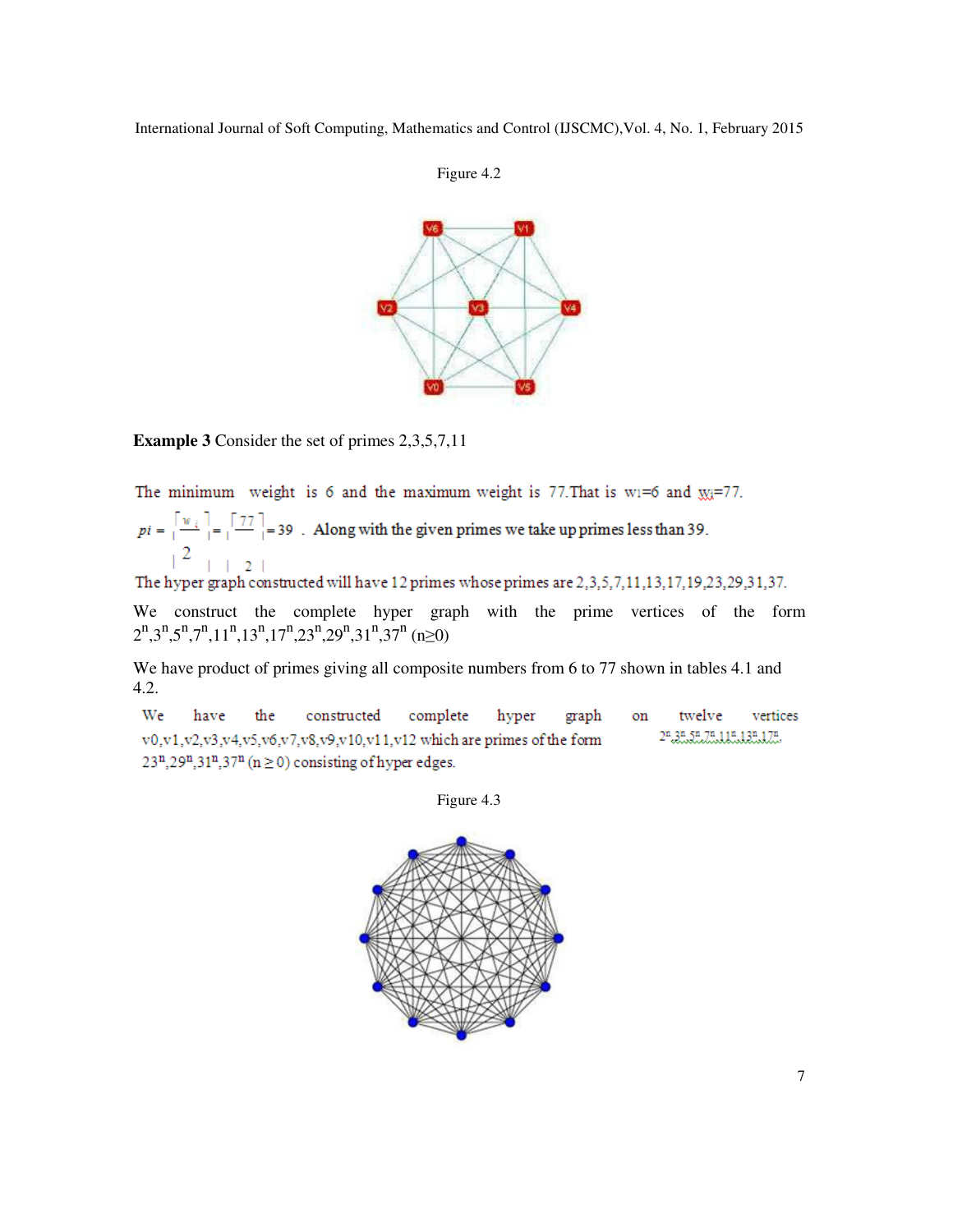



**Example 3** Consider the set of primes 2,3,5,7,11

The minimum weight is 6 and the maximum weight is 77. That is wi=6 and  $m = 77$ .

 $pi = \left[\frac{w_i}{1-\epsilon}\right] = \left[\frac{77}{1-\epsilon}\right] = 39$ . Along with the given primes we take up primes less than 39.  $2$   $\vert$   $\vert$   $2$   $\vert$ 

The hyper graph constructed will have 12 primes whose primes are 2,3,5,7,11,13,17,19,23,29,31,37.

We construct the complete hyper graph with the prime vertices of the form  $2^{n}$ ,3<sup>n</sup>,5<sup>n</sup>,7<sup>n</sup>,11<sup>n</sup>,13<sup>n</sup>,17<sup>n</sup>,23<sup>n</sup>,29<sup>n</sup>,31<sup>n</sup>,37<sup>n</sup> (n≥0)

We have product of primes giving all composite numbers from 6 to 77 shown in tables 4.1 and 4.2.

We complete hyper have the constructed graph on twelve vertices 2n.3n.5n.7n.11n.13n.17n. v0,v1,v2,v3,v4,v5,v6,v7,v8,v9,v10,v11,v12 which are primes of the form  $23^n, 29^n, 31^n, 37^n$  (n  $\geq$  0) consisting of hyper edges.

Figure 4.3

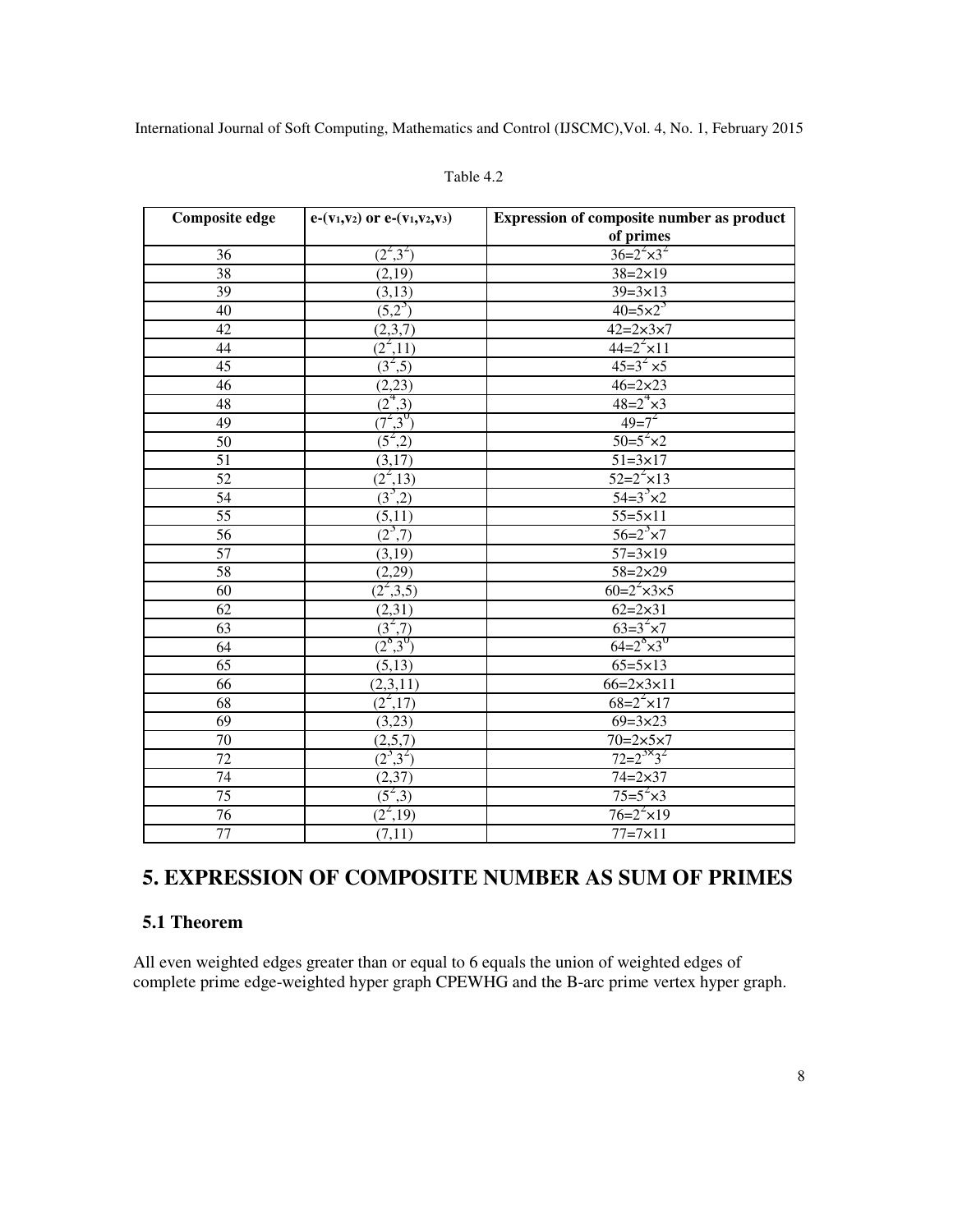| <b>Composite edge</b> | $e-(v_1,v_2)$ or $e-(v_1,v_2,v_3)$                                          | <b>Expression of composite number as product</b><br>of primes |
|-----------------------|-----------------------------------------------------------------------------|---------------------------------------------------------------|
| 36                    | $(2^2,3^2)$                                                                 | $36=2^{2}\times3^{2}$                                         |
| 38                    | (2,19)                                                                      | $38 = 2 \times 19$                                            |
| 39                    | (3,13)                                                                      | $39 = 3 \times 13$                                            |
|                       | $(5,2^3)$                                                                   | $40=5\times2^{3}$                                             |
| 40<br>42              |                                                                             | $42 = 2 \times 3 \times 7$                                    |
|                       | (2,3,7)                                                                     | $44=2^{2} \times 11$                                          |
| 44                    | $\frac{(2^2,11)}{(3^2,5)}$                                                  |                                                               |
| 45                    |                                                                             | $45=3^{2} \times 5$                                           |
| 46                    | (2, 23)                                                                     | $46 = 2 \times 23$                                            |
| 48                    | $\frac{(2,2)}{(2^4,3)}$ $\frac{(7^2,3^0)}{(5^2,2)}$ $\frac{(5^2,2)}{(1,2)}$ | $48 = 2^4 \times 3$                                           |
| 49                    |                                                                             | $49=7^{2}$                                                    |
| 50                    |                                                                             | $50=5^{2} \times 2$                                           |
| $\overline{51}$       | (3,17)                                                                      | $51 = 3 \times 17$                                            |
| 52                    | $(2^2,13)$                                                                  | $52=2^{2} \times 13$                                          |
| 54                    | $(3^3,2)$                                                                   | $54=3^{3} \times 2$                                           |
| 55                    | (5,11)                                                                      | $55 = 5 \times 11$                                            |
| $\overline{56}$       | $(2^3,7)$                                                                   | $56=2^{3} \times 7$                                           |
| 57                    | (3,19)                                                                      | $57 = 3 \times 19$                                            |
| $\overline{58}$       | (2,29)                                                                      | $58 = 2 \times 29$                                            |
| 60                    | $(2^2,3,5)$                                                                 | $60=2^{2} \times 3 \times 5$                                  |
| $\overline{62}$       | (2,31)                                                                      | $62 = 2 \times 31$                                            |
| 63                    |                                                                             | $63=3^{2} \times 7$                                           |
| 64                    | $\frac{(3^2,7)}{(2^9,3^0)}$                                                 | $64 = 2^{\circ} \times 3^{\circ}$                             |
| $\overline{65}$       | (5,13)                                                                      | $65 = 5 \times 13$                                            |
| 66                    | (2,3,11)                                                                    | $66 = 2 \times 3 \times 11$                                   |
| 68                    | $(2^2,17)$                                                                  | $68=2^{2} \times 17$                                          |
| 69                    | (3,23)                                                                      | $69 = 3 \times 23$                                            |
| 70                    | (2,5,7)                                                                     | $70=2\times 5\times 7$                                        |
| $\overline{72}$       | $(2^3,3^2)$                                                                 | $72 = 2^{3 \times 3^2}$                                       |
| 74                    | (2,37)                                                                      | $74 = 2 \times 37$                                            |
| 75                    | $(5^2,3)$                                                                   | $75=5^{2} \times 3$                                           |
| $\overline{76}$       | $(2^2, 19)$                                                                 | $76=2^{2} \times 19$                                          |
| 77                    | (7,11)                                                                      | $77 = 7 \times 11$                                            |

#### Table 4.2

# **5. EXPRESSION OF COMPOSITE NUMBER AS SUM OF PRIMES**

#### **5.1 Theorem**

All even weighted edges greater than or equal to 6 equals the union of weighted edges of complete prime edge-weighted hyper graph CPEWHG and the B-arc prime vertex hyper graph.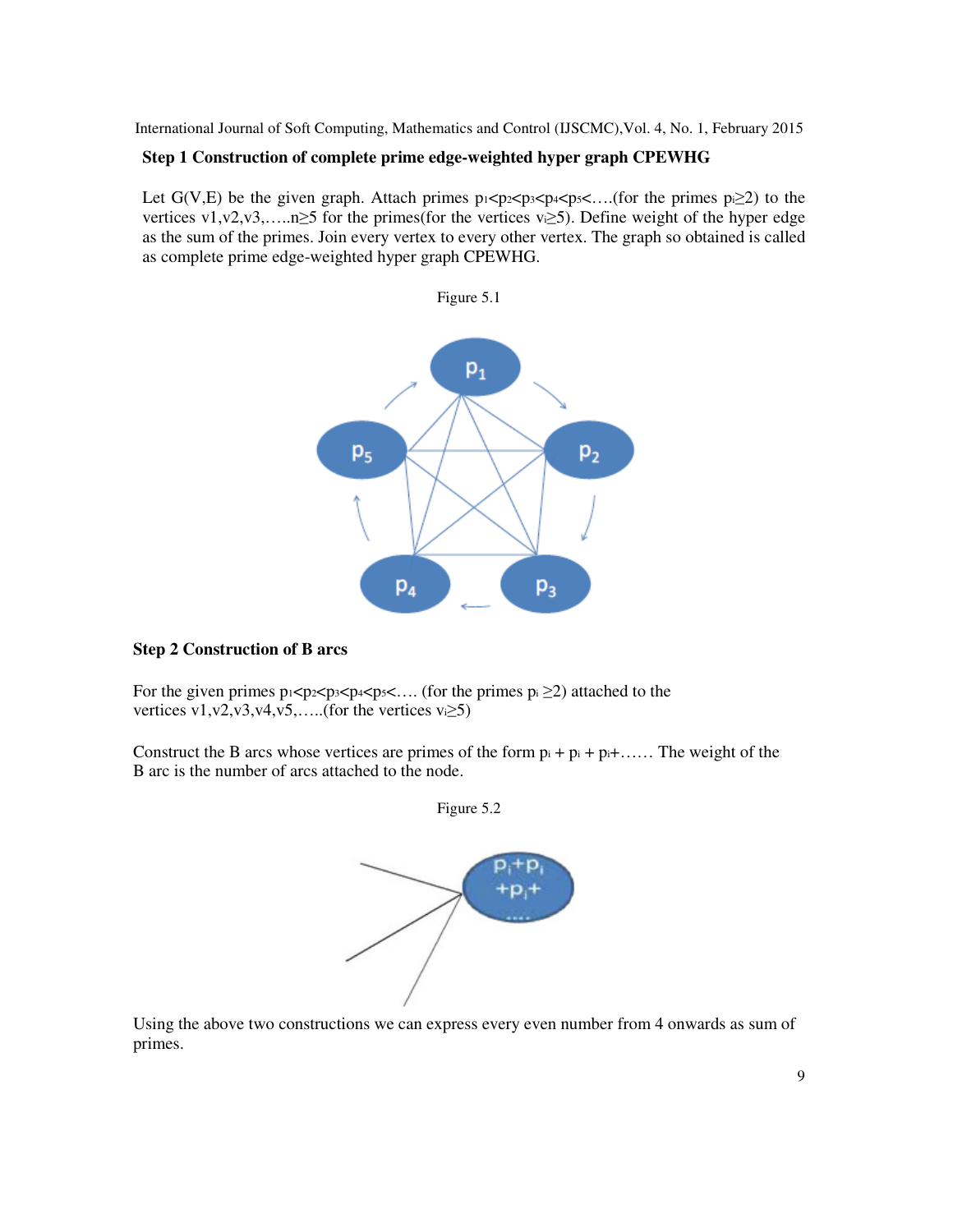#### **Step 1 Construction of complete prime edge-weighted hyper graph CPEWHG**

Let G(V,E) be the given graph. Attach primes  $p_1 < p_2 < p_3 < p_4 < p_5 < \dots$  (for the primes  $p_1 \geq 2$ ) to the vertices v1,v2,v3,…..n≥5 for the primes(for the vertices vi≥5). Define weight of the hyper edge as the sum of the primes. Join every vertex to every other vertex. The graph so obtained is called as complete prime edge-weighted hyper graph CPEWHG.



#### **Step 2 Construction of B arcs**

For the given primes  $p_1 < p_2 < p_3 < p_4 < p_5 < ...$  (for the primes  $p_i \ge 2$ ) attached to the vertices v1,v2,v3,v4,v5,.....(for the vertices vi $\geq$ 5)

Construct the B arcs whose vertices are primes of the form  $p_i + p_i + \ldots$ . The weight of the B arc is the number of arcs attached to the node.



Figure 5.2

Using the above two constructions we can express every even number from 4 onwards as sum of primes.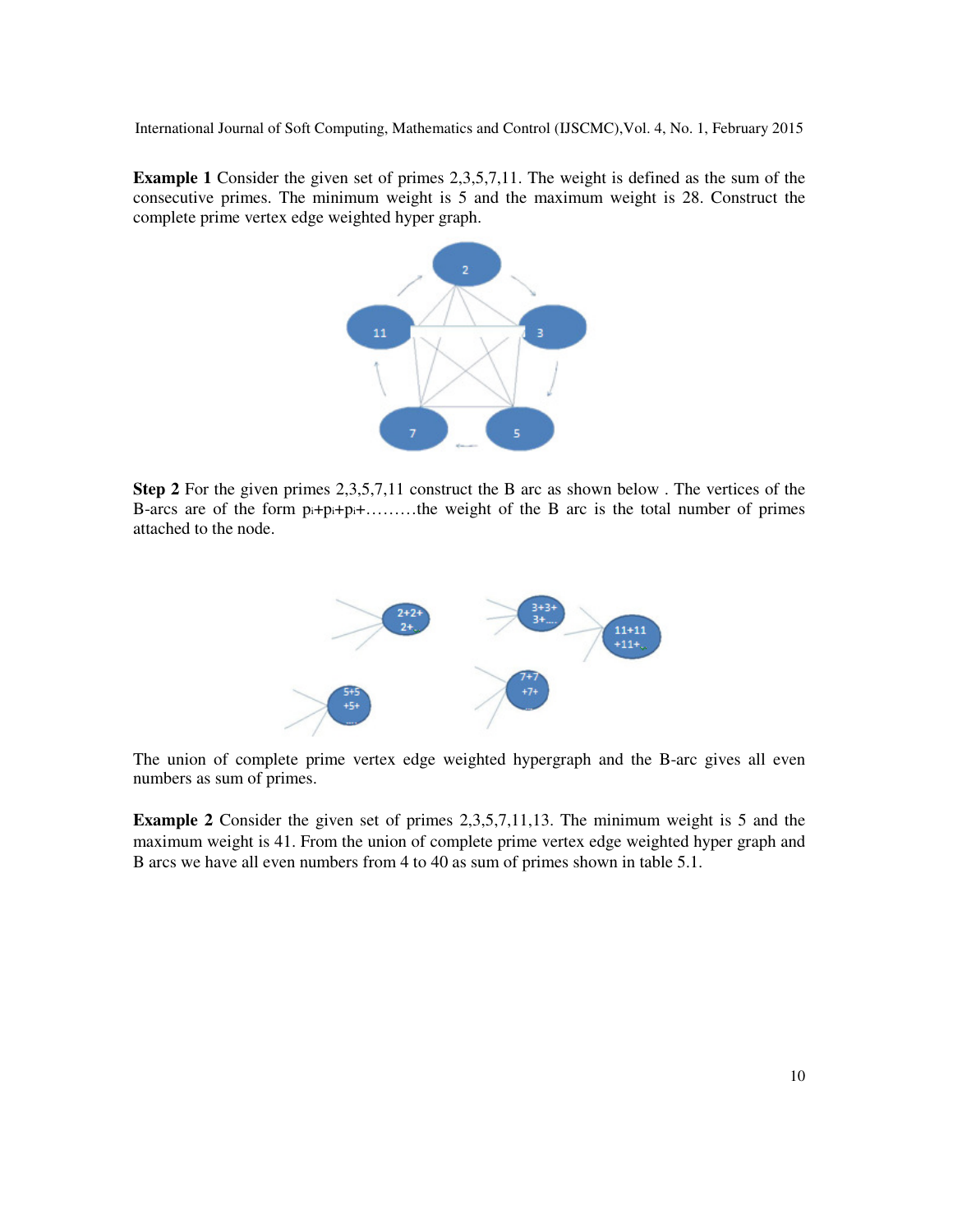**Example 1** Consider the given set of primes 2,3,5,7,11. The weight is defined as the sum of the consecutive primes. The minimum weight is 5 and the maximum weight is 28. Construct the complete prime vertex edge weighted hyper graph.



**Step 2** For the given primes 2,3,5,7,11 construct the B arc as shown below . The vertices of the B-arcs are of the form pi+pi+pi+………the weight of the B arc is the total number of primes attached to the node.



The union of complete prime vertex edge weighted hypergraph and the B-arc gives all even numbers as sum of primes.

**Example 2** Consider the given set of primes 2,3,5,7,11,13. The minimum weight is 5 and the maximum weight is 41. From the union of complete prime vertex edge weighted hyper graph and B arcs we have all even numbers from 4 to 40 as sum of primes shown in table 5.1.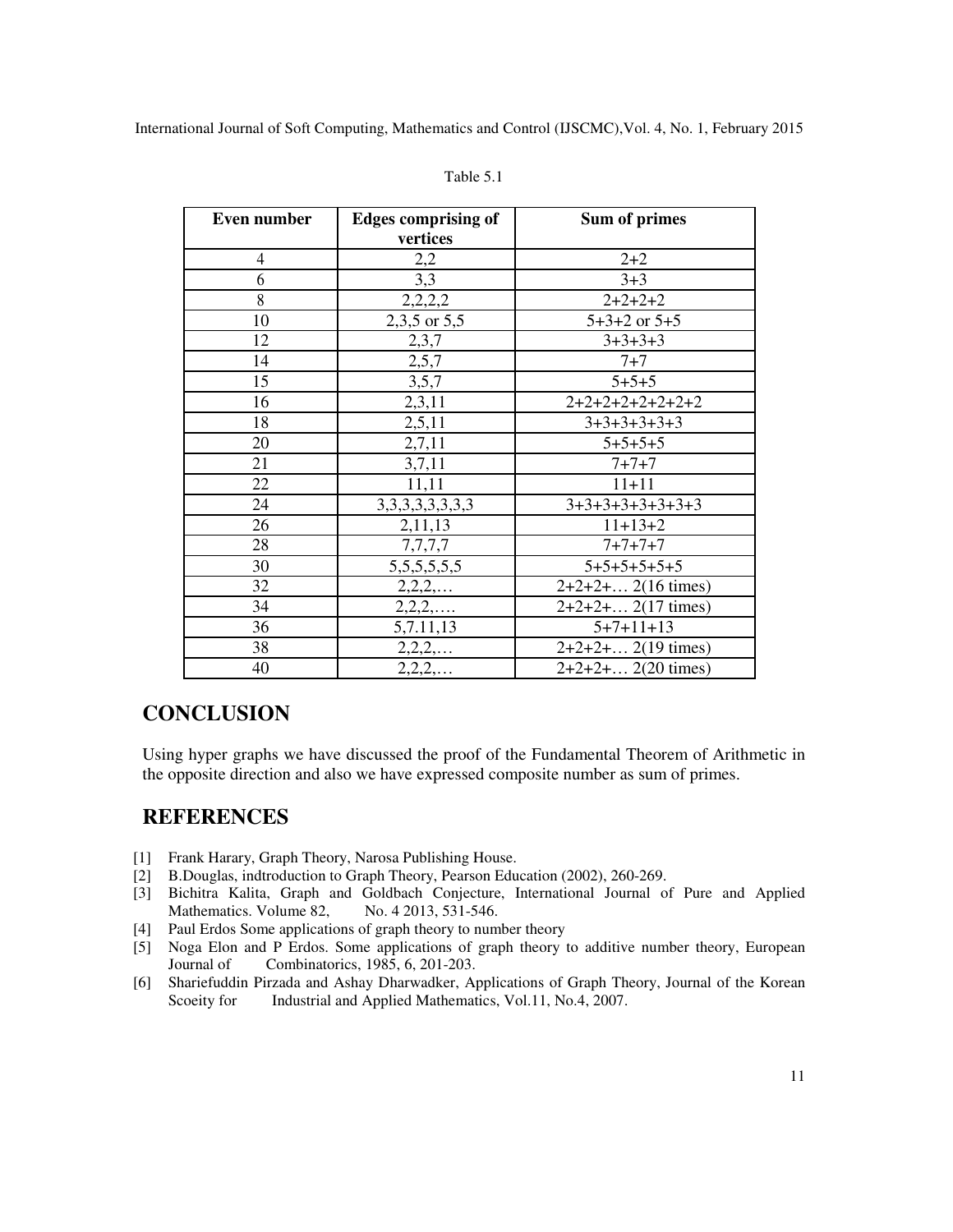| Even number | <b>Edges comprising of</b> | Sum of primes        |
|-------------|----------------------------|----------------------|
|             | vertices                   |                      |
| 4           | 2,2                        | $2 + 2$              |
| 6           | 3,3                        | $3 + 3$              |
| 8           | 2,2,2,2                    | $2+2+2+2$            |
| 10          | 2,3,5 or 5,5               | $5+3+2$ or $5+5$     |
| 12          | 2,3,7                      | $3+3+3+3$            |
| 14          | 2,5,7                      | $7 + 7$              |
| 15          | 3,5,7                      | $5 + 5 + 5$          |
| 16          | 2,3,11                     | $2+2+2+2+2+2+2+2$    |
| 18          | 2,5,11                     | $3+3+3+3+3+3$        |
| 20          | 2,7,11                     | $5+5+5+5$            |
| 21          | 3,7,11                     | $7 + 7 + 7$          |
| 22          | 11,11                      | $11 + 11$            |
| 24          | 3, 3, 3, 3, 3, 3, 3, 3     | $3+3+3+3+3+3+3+3$    |
| 26          | 2,11,13                    | $11+13+2$            |
| 28          | 7,7,7,7                    | $7 + 7 + 7 + 7$      |
| 30          | 5, 5, 5, 5, 5, 5, 5        | $5+5+5+5+5+5$        |
| 32          | 2,2,2,                     | $2+2+2+$ 2(16 times) |
| 34          | $2, 2, 2, \ldots$          | $2+2+2+$ 2(17 times) |
| 36          | 5,7.11,13                  | $5+7+11+13$          |
| 38          | $2, 2, 2, \ldots$          | $2+2+2+$ 2(19 times) |
| 40          | 2, 2, 2,                   | $2+2+2+$ 2(20 times) |

#### Table 5.1

# **CONCLUSION**

Using hyper graphs we have discussed the proof of the Fundamental Theorem of Arithmetic in the opposite direction and also we have expressed composite number as sum of primes.

# **REFERENCES**

- [1] Frank Harary, Graph Theory, Narosa Publishing House.
- [2] B.Douglas, indtroduction to Graph Theory, Pearson Education (2002), 260-269.
- [3] Bichitra Kalita, Graph and Goldbach Conjecture, International Journal of Pure and Applied Mathematics. Volume 82,
- [4] Paul Erdos Some applications of graph theory to number theory
- [5] Noga Elon and P Erdos. Some applications of graph theory to additive number theory, European Journal of Combinatorics, 1985, 6, 201-203.
- [6] Shariefuddin Pirzada and Ashay Dharwadker, Applications of Graph Theory, Journal of the Korean Scoeity for Industrial and Applied Mathematics, Vol.11, No.4, 2007.